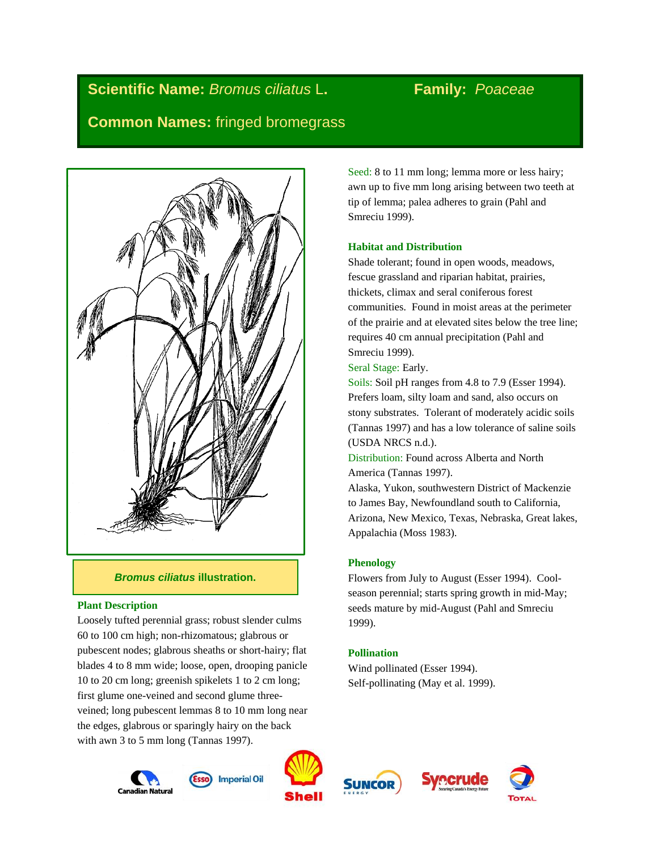# **Scientific Name:** *Bromus ciliatus* L**. Family:** *Poaceae*

## **Common Names:** fringed bromegrass



#### *Bromus ciliatus* **illustration.**

#### **Plant Description**

Loosely tufted perennial grass; robust slender culms 60 to 100 cm high; non-rhizomatous; glabrous or pubescent nodes; glabrous sheaths or short-hairy; flat blades 4 to 8 mm wide; loose, open, drooping panicle 10 to 20 cm long; greenish spikelets 1 to 2 cm long; first glume one-veined and second glume threeveined; long pubescent lemmas 8 to 10 mm long near the edges, glabrous or sparingly hairy on the back with awn 3 to 5 mm long (Tannas 1997).

Seed: 8 to 11 mm long; lemma more or less hairy; awn up to five mm long arising between two teeth at tip of lemma; palea adheres to grain (Pahl and Smreciu 1999).

#### **Habitat and Distribution**

Shade tolerant; found in open woods, meadows, fescue grassland and riparian habitat, prairies, thickets, climax and seral coniferous forest communities. Found in moist areas at the perimeter of the prairie and at elevated sites below the tree line; requires 40 cm annual precipitation (Pahl and Smreciu 1999).

Seral Stage: Early.

Soils: Soil pH ranges from 4.8 to 7.9 (Esser 1994). Prefers loam, silty loam and sand, also occurs on stony substrates. Tolerant of moderately acidic soils (Tannas 1997) and has a low tolerance of saline soils (USDA NRCS n.d.).

Distribution: Found across Alberta and North America (Tannas 1997).

Alaska, Yukon, southwestern District of Mackenzie to James Bay, Newfoundland south to California, Arizona, New Mexico, Texas, Nebraska, Great lakes, Appalachia (Moss 1983).

#### **Phenology**

Flowers from July to August (Esser 1994). Coolseason perennial; starts spring growth in mid-May; seeds mature by mid-August (Pahl and Smreciu 1999).

### **Pollination**

Wind pollinated (Esser 1994). Self-pollinating (May et al. 1999).











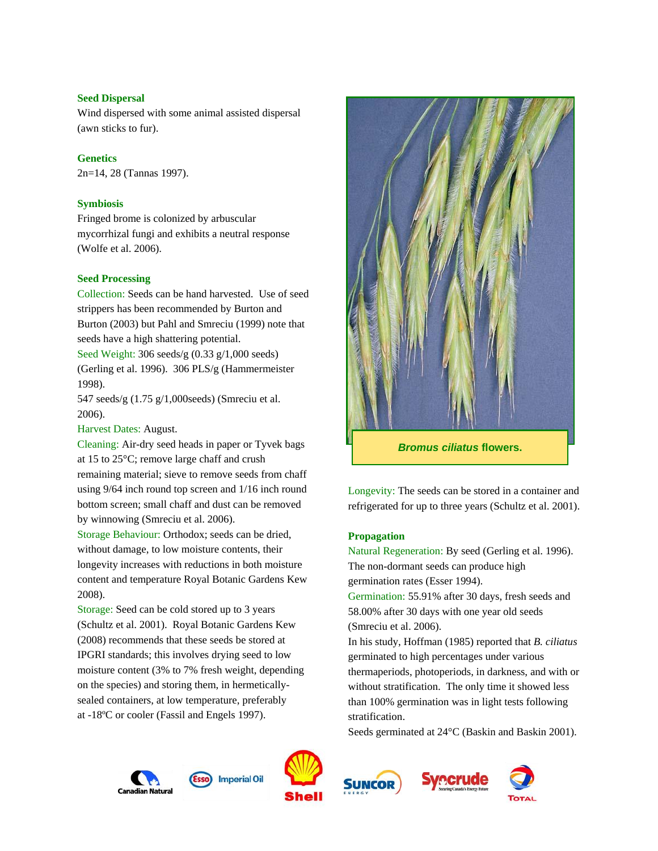#### **Seed Dispersal**

Wind dispersed with some animal assisted dispersal (awn sticks to fur).

#### **Genetics**

2n=14, 28 (Tannas 1997).

#### **Symbiosis**

Fringed brome is colonized by arbuscular mycorrhizal fungi and exhibits a neutral response (Wolfe et al. 2006).

#### **Seed Processing**

Collection: Seeds can be hand harvested. Use of seed strippers has been recommended by Burton and Burton (2003) but Pahl and Smreciu (1999) note that seeds have a high shattering potential.

Seed Weight: 306 seeds/g (0.33 g/1,000 seeds) (Gerling et al. 1996). 306 PLS/g (Hammermeister 1998).

547 seeds/g (1.75 g/1,000seeds) (Smreciu et al. 2006).

Harvest Dates: August.

Cleaning: Air-dry seed heads in paper or Tyvek bags at 15 to 25°C; remove large chaff and crush remaining material; sieve to remove seeds from chaff using 9/64 inch round top screen and 1/16 inch round bottom screen; small chaff and dust can be removed by winnowing (Smreciu et al. 2006).

Storage Behaviour: Orthodox; seeds can be dried, without damage, to low moisture contents, their longevity increases with reductions in both moisture content and temperature Royal Botanic Gardens Kew 2008).

Storage: Seed can be cold stored up to 3 years (Schultz et al. 2001). Royal Botanic Gardens Kew (2008) recommends that these seeds be stored at IPGRI standards; this involves drying seed to low moisture content (3% to 7% fresh weight, depending on the species) and storing them, in hermeticallysealed containers, at low temperature, preferably at -18ºC or cooler (Fassil and Engels 1997).



Longevity: The seeds can be stored in a container and refrigerated for up to three years (Schultz et al. 2001).

#### **Propagation**

Natural Regeneration: By seed (Gerling et al. 1996). The non-dormant seeds can produce high germination rates (Esser 1994). Germination: 55.91% after 30 days, fresh seeds and 58.00% after 30 days with one year old seeds (Smreciu et al. 2006). In his study, Hoffman (1985) reported that *B. ciliatus* germinated to high percentages under various thermaperiods, photoperiods, in darkness, and with or without stratification. The only time it showed less than 100% germination was in light tests following

stratification.

Seeds germinated at 24°C (Baskin and Baskin 2001).







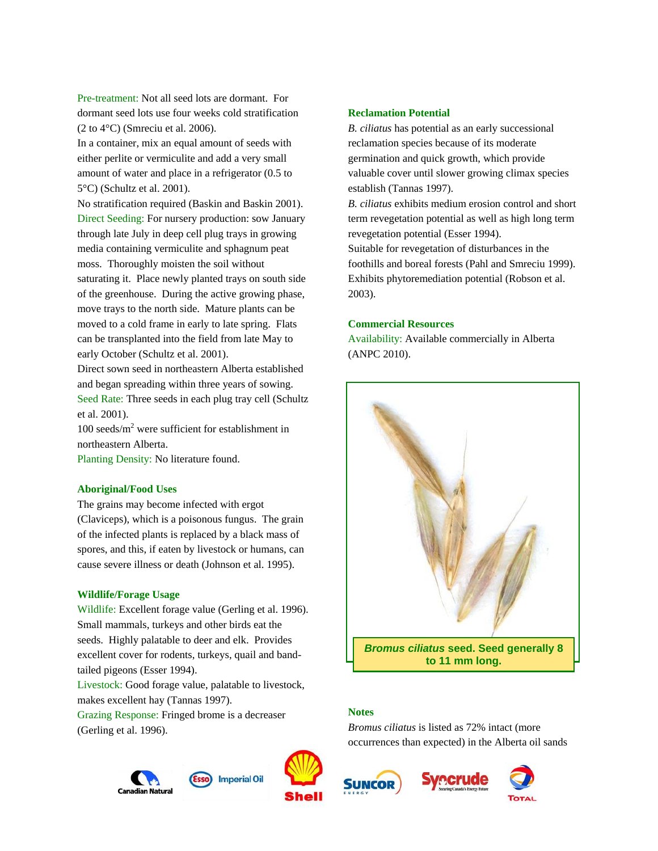Pre-treatment: Not all seed lots are dormant. For dormant seed lots use four weeks cold stratification (2 to 4°C) (Smreciu et al. 2006).

In a container, mix an equal amount of seeds with either perlite or vermiculite and add a very small amount of water and place in a refrigerator (0.5 to 5°C) (Schultz et al. 2001).

No stratification required (Baskin and Baskin 2001). Direct Seeding: For nursery production: sow January through late July in deep cell plug trays in growing media containing vermiculite and sphagnum peat moss. Thoroughly moisten the soil without saturating it. Place newly planted trays on south side of the greenhouse. During the active growing phase, move trays to the north side. Mature plants can be moved to a cold frame in early to late spring. Flats can be transplanted into the field from late May to early October (Schultz et al. 2001).

Direct sown seed in northeastern Alberta established and began spreading within three years of sowing. Seed Rate: Three seeds in each plug tray cell (Schultz et al. 2001).

 $100$  seeds/m<sup>2</sup> were sufficient for establishment in northeastern Alberta.

Planting Density: No literature found.

#### **Aboriginal/Food Uses**

The grains may become infected with ergot (Claviceps), which is a poisonous fungus. The grain of the infected plants is replaced by a black mass of spores, and this, if eaten by livestock or humans, can cause severe illness or death (Johnson et al. 1995).

#### **Wildlife/Forage Usage**

Wildlife: Excellent forage value (Gerling et al. 1996). Small mammals, turkeys and other birds eat the seeds. Highly palatable to deer and elk. Provides excellent cover for rodents, turkeys, quail and bandtailed pigeons (Esser 1994).

Livestock: Good forage value, palatable to livestock, makes excellent hay (Tannas 1997).

Grazing Response: Fringed brome is a decreaser (Gerling et al. 1996).





*Bromus ciliatus* **seed. Seed generally 8 to 11 mm long.**

#### **Notes**

**Reclamation Potential**

establish (Tannas 1997).

**Commercial Resources**

(ANPC 2010).

2003).

revegetation potential (Esser 1994).

*B. ciliatus* has potential as an early successional reclamation species because of its moderate germination and quick growth, which provide valuable cover until slower growing climax species

*B. ciliatus* exhibits medium erosion control and short term revegetation potential as well as high long term

Suitable for revegetation of disturbances in the foothills and boreal forests (Pahl and Smreciu 1999). Exhibits phytoremediation potential (Robson et al.

Availability: Available commercially in Alberta

*Bromus ciliatus* is listed as 72% intact (more occurrences than expected) in the Alberta oil sands





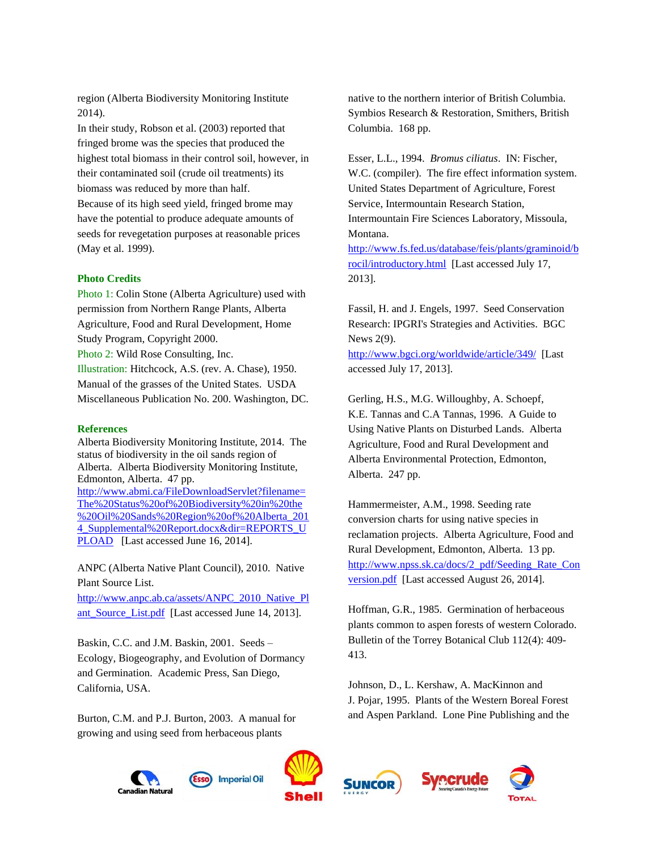region (Alberta Biodiversity Monitoring Institute 2014).

In their study, Robson et al. (2003) reported that fringed brome was the species that produced the highest total biomass in their control soil, however, in their contaminated soil (crude oil treatments) its biomass was reduced by more than half.

Because of its high seed yield, fringed brome may have the potential to produce adequate amounts of seeds for revegetation purposes at reasonable prices (May et al. 1999).

#### **Photo Credits**

Photo 1: Colin Stone (Alberta Agriculture) used with permission from Northern Range Plants, Alberta Agriculture, Food and Rural Development, Home Study Program, Copyright 2000. Photo 2: Wild Rose Consulting, Inc. Illustration: Hitchcock, A.S. (rev. A. Chase), 1950. Manual of the grasses of the United States. USDA Miscellaneous Publication No. 200. Washington, DC.

#### **References**

Alberta Biodiversity Monitoring Institute, 2014. The status of biodiversity in the oil sands region of Alberta. Alberta Biodiversity Monitoring Institute, Edmonton, Alberta. 47 pp. [http://www.abmi.ca/FileDownloadServlet?filename=](http://www.abmi.ca/FileDownloadServlet?filename=The%20Status%20of%20Biodiversity%20in%20the%20Oil%20Sands%20Region%20of%20Alberta_2014_Supplemental%20Report.docx&dir=REPORTS_UPLOAD) [The%20Status%20of%20Biodiversity%20in%20the](http://www.abmi.ca/FileDownloadServlet?filename=The%20Status%20of%20Biodiversity%20in%20the%20Oil%20Sands%20Region%20of%20Alberta_2014_Supplemental%20Report.docx&dir=REPORTS_UPLOAD) [%20Oil%20Sands%20Region%20of%20Alberta\\_201](http://www.abmi.ca/FileDownloadServlet?filename=The%20Status%20of%20Biodiversity%20in%20the%20Oil%20Sands%20Region%20of%20Alberta_2014_Supplemental%20Report.docx&dir=REPORTS_UPLOAD) [4\\_Supplemental%20Report.docx&dir=REPORTS\\_U](http://www.abmi.ca/FileDownloadServlet?filename=The%20Status%20of%20Biodiversity%20in%20the%20Oil%20Sands%20Region%20of%20Alberta_2014_Supplemental%20Report.docx&dir=REPORTS_UPLOAD) [PLOAD](http://www.abmi.ca/FileDownloadServlet?filename=The%20Status%20of%20Biodiversity%20in%20the%20Oil%20Sands%20Region%20of%20Alberta_2014_Supplemental%20Report.docx&dir=REPORTS_UPLOAD) [Last accessed June 16, 2014].

ANPC (Alberta Native Plant Council), 2010. Native Plant Source List.

[http://www.anpc.ab.ca/assets/ANPC\\_2010\\_Native\\_Pl](http://www.anpc.ab.ca/assets/ANPC_2010_Native_Plant_Source_List.pdf) [ant\\_Source\\_List.pdf](http://www.anpc.ab.ca/assets/ANPC_2010_Native_Plant_Source_List.pdf) [Last accessed June 14, 2013].

Baskin, C.C. and J.M. Baskin, 2001. Seeds – Ecology, Biogeography, and Evolution of Dormancy and Germination. Academic Press, San Diego, California, USA.

Burton, C.M. and P.J. Burton, 2003. A manual for growing and using seed from herbaceous plants

native to the northern interior of British Columbia. Symbios Research & Restoration, Smithers, British Columbia. 168 pp.

Esser, L.L., 1994. *Bromus ciliatus*. IN: Fischer, W.C. (compiler). The fire effect information system. United States Department of Agriculture, Forest Service, Intermountain Research Station, Intermountain Fire Sciences Laboratory, Missoula, Montana. [http://www.fs.fed.us/database/feis/plants/graminoid/b](http://www.fs.fed.us/database/feis/plants/graminoid/brocil/introductory.html)

[rocil/introductory.html](http://www.fs.fed.us/database/feis/plants/graminoid/brocil/introductory.html) [Last accessed July 17, 2013].

Fassil, H. and J. Engels, 1997. Seed Conservation Research: IPGRI's Strategies and Activities. BGC News 2(9).

<http://www.bgci.org/worldwide/article/349/>[Last accessed July 17, 2013].

Gerling, H.S., M.G. Willoughby, A. Schoepf, K.E. Tannas and C.A Tannas, 1996. A Guide to Using Native Plants on Disturbed Lands. Alberta Agriculture, Food and Rural Development and Alberta Environmental Protection, Edmonton, Alberta. 247 pp.

Hammermeister, A.M., 1998. Seeding rate conversion charts for using native species in reclamation projects. Alberta Agriculture, Food and Rural Development, Edmonton, Alberta. 13 pp. [http://www.npss.sk.ca/docs/2\\_pdf/Seeding\\_Rate\\_Con](http://www.npss.sk.ca/docs/2_pdf/Seeding_Rate_Conversion.pdf) [version.pdf](http://www.npss.sk.ca/docs/2_pdf/Seeding_Rate_Conversion.pdf) [Last accessed August 26, 2014].

Hoffman, G.R., 1985. Germination of herbaceous plants common to aspen forests of western Colorado. Bulletin of the Torrey Botanical Club 112(4): 409- 413.

Johnson, D., L. Kershaw, A. MacKinnon and J. Pojar, 1995. Plants of the Western Boreal Forest and Aspen Parkland. Lone Pine Publishing and the